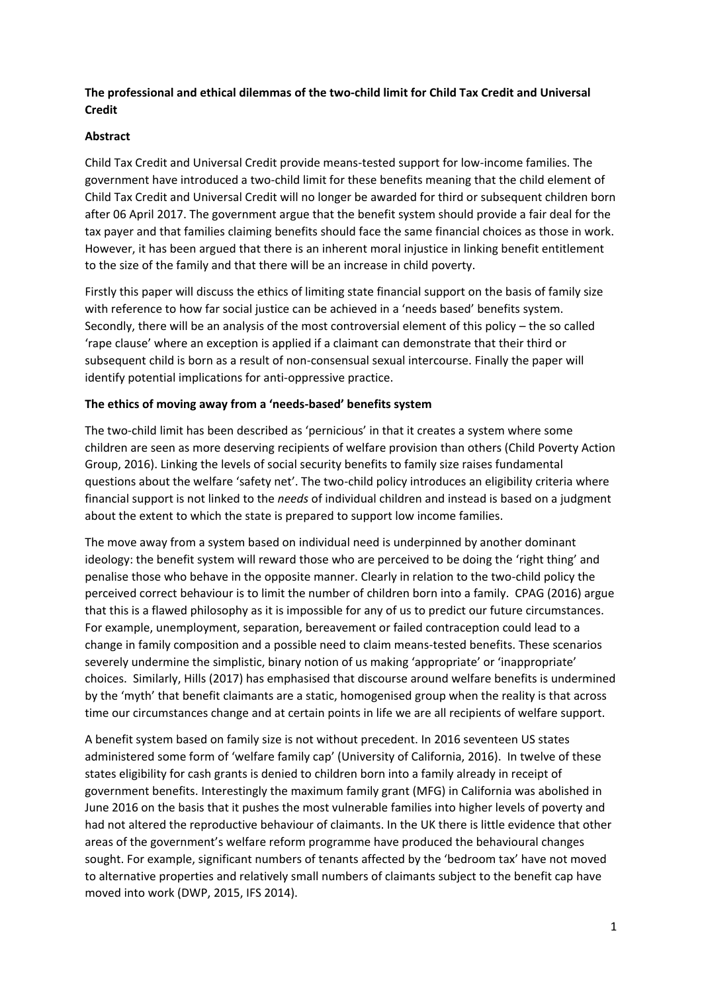# **The professional and ethical dilemmas of the two-child limit for Child Tax Credit and Universal Credit**

## **Abstract**

Child Tax Credit and Universal Credit provide means-tested support for low-income families. The government have introduced a two-child limit for these benefits meaning that the child element of Child Tax Credit and Universal Credit will no longer be awarded for third or subsequent children born after 06 April 2017. The government argue that the benefit system should provide a fair deal for the tax payer and that families claiming benefits should face the same financial choices as those in work. However, it has been argued that there is an inherent moral injustice in linking benefit entitlement to the size of the family and that there will be an increase in child poverty.

Firstly this paper will discuss the ethics of limiting state financial support on the basis of family size with reference to how far social justice can be achieved in a 'needs based' benefits system. Secondly, there will be an analysis of the most controversial element of this policy – the so called 'rape clause' where an exception is applied if a claimant can demonstrate that their third or subsequent child is born as a result of non-consensual sexual intercourse. Finally the paper will identify potential implications for anti-oppressive practice.

### **The ethics of moving away from a 'needs-based' benefits system**

The two-child limit has been described as 'pernicious' in that it creates a system where some children are seen as more deserving recipients of welfare provision than others (Child Poverty Action Group, 2016). Linking the levels of social security benefits to family size raises fundamental questions about the welfare 'safety net'. The two-child policy introduces an eligibility criteria where financial support is not linked to the *needs* of individual children and instead is based on a judgment about the extent to which the state is prepared to support low income families.

The move away from a system based on individual need is underpinned by another dominant ideology: the benefit system will reward those who are perceived to be doing the 'right thing' and penalise those who behave in the opposite manner. Clearly in relation to the two-child policy the perceived correct behaviour is to limit the number of children born into a family. CPAG (2016) argue that this is a flawed philosophy as it is impossible for any of us to predict our future circumstances. For example, unemployment, separation, bereavement or failed contraception could lead to a change in family composition and a possible need to claim means-tested benefits. These scenarios severely undermine the simplistic, binary notion of us making 'appropriate' or 'inappropriate' choices. Similarly, Hills (2017) has emphasised that discourse around welfare benefits is undermined by the 'myth' that benefit claimants are a static, homogenised group when the reality is that across time our circumstances change and at certain points in life we are all recipients of welfare support.

A benefit system based on family size is not without precedent. In 2016 seventeen US states administered some form of 'welfare family cap' (University of California, 2016). In twelve of these states eligibility for cash grants is denied to children born into a family already in receipt of government benefits. Interestingly the maximum family grant (MFG) in California was abolished in June 2016 on the basis that it pushes the most vulnerable families into higher levels of poverty and had not altered the reproductive behaviour of claimants. In the UK there is little evidence that other areas of the government's welfare reform programme have produced the behavioural changes sought. For example, significant numbers of tenants affected by the 'bedroom tax' have not moved to alternative properties and relatively small numbers of claimants subject to the benefit cap have moved into work (DWP, 2015, IFS 2014).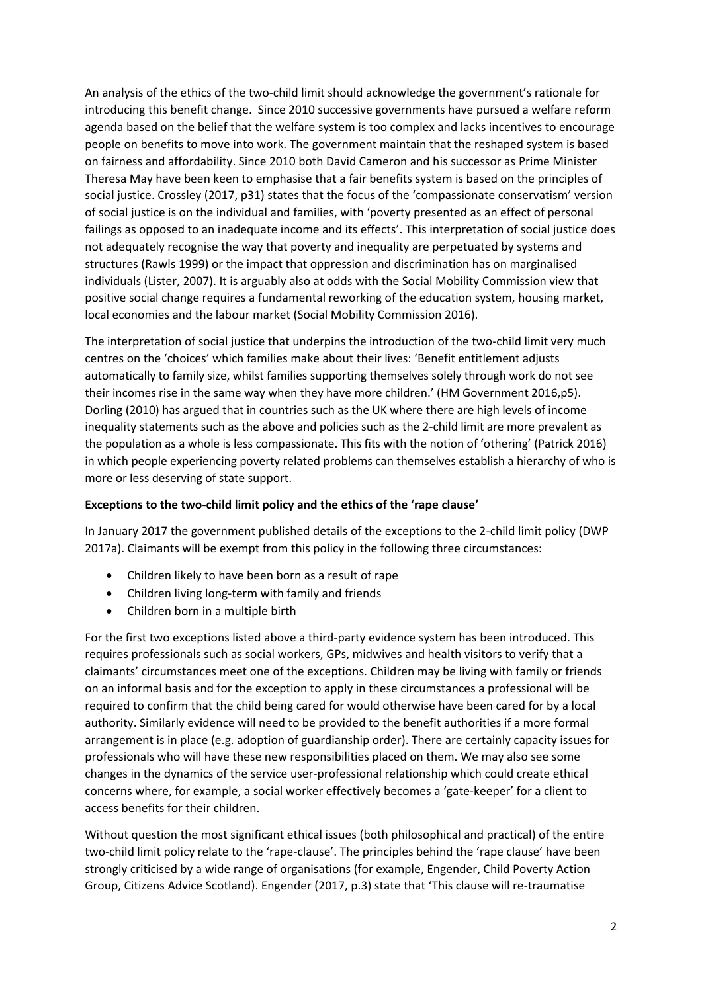An analysis of the ethics of the two-child limit should acknowledge the government's rationale for introducing this benefit change. Since 2010 successive governments have pursued a welfare reform agenda based on the belief that the welfare system is too complex and lacks incentives to encourage people on benefits to move into work. The government maintain that the reshaped system is based on fairness and affordability. Since 2010 both David Cameron and his successor as Prime Minister Theresa May have been keen to emphasise that a fair benefits system is based on the principles of social justice. Crossley (2017, p31) states that the focus of the 'compassionate conservatism' version of social justice is on the individual and families, with 'poverty presented as an effect of personal failings as opposed to an inadequate income and its effects'. This interpretation of social justice does not adequately recognise the way that poverty and inequality are perpetuated by systems and structures (Rawls 1999) or the impact that oppression and discrimination has on marginalised individuals (Lister, 2007). It is arguably also at odds with the Social Mobility Commission view that positive social change requires a fundamental reworking of the education system, housing market, local economies and the labour market (Social Mobility Commission 2016).

The interpretation of social justice that underpins the introduction of the two-child limit very much centres on the 'choices' which families make about their lives: 'Benefit entitlement adjusts automatically to family size, whilst families supporting themselves solely through work do not see their incomes rise in the same way when they have more children.' (HM Government 2016,p5). Dorling (2010) has argued that in countries such as the UK where there are high levels of income inequality statements such as the above and policies such as the 2-child limit are more prevalent as the population as a whole is less compassionate. This fits with the notion of 'othering' (Patrick 2016) in which people experiencing poverty related problems can themselves establish a hierarchy of who is more or less deserving of state support.

## **Exceptions to the two-child limit policy and the ethics of the 'rape clause'**

In January 2017 the government published details of the exceptions to the 2-child limit policy (DWP 2017a). Claimants will be exempt from this policy in the following three circumstances:

- Children likely to have been born as a result of rape
- Children living long-term with family and friends
- Children born in a multiple birth

For the first two exceptions listed above a third-party evidence system has been introduced. This requires professionals such as social workers, GPs, midwives and health visitors to verify that a claimants' circumstances meet one of the exceptions. Children may be living with family or friends on an informal basis and for the exception to apply in these circumstances a professional will be required to confirm that the child being cared for would otherwise have been cared for by a local authority. Similarly evidence will need to be provided to the benefit authorities if a more formal arrangement is in place (e.g. adoption of guardianship order). There are certainly capacity issues for professionals who will have these new responsibilities placed on them. We may also see some changes in the dynamics of the service user-professional relationship which could create ethical concerns where, for example, a social worker effectively becomes a 'gate-keeper' for a client to access benefits for their children.

Without question the most significant ethical issues (both philosophical and practical) of the entire two-child limit policy relate to the 'rape-clause'. The principles behind the 'rape clause' have been strongly criticised by a wide range of organisations (for example, Engender, Child Poverty Action Group, Citizens Advice Scotland). Engender (2017, p.3) state that 'This clause will re-traumatise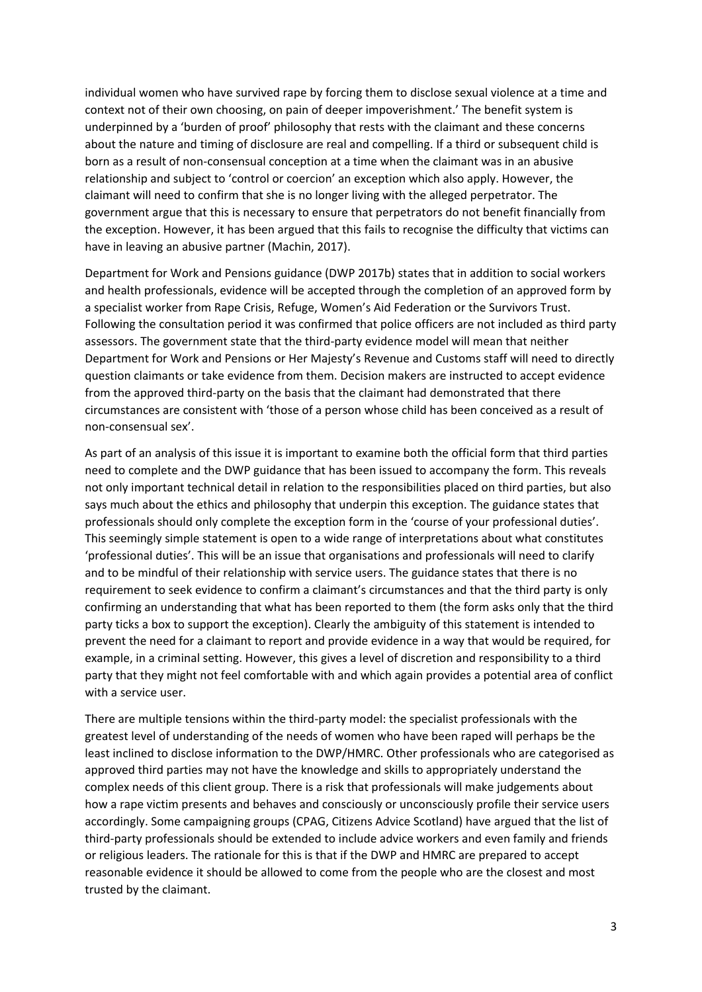individual women who have survived rape by forcing them to disclose sexual violence at a time and context not of their own choosing, on pain of deeper impoverishment.' The benefit system is underpinned by a 'burden of proof' philosophy that rests with the claimant and these concerns about the nature and timing of disclosure are real and compelling. If a third or subsequent child is born as a result of non-consensual conception at a time when the claimant was in an abusive relationship and subject to 'control or coercion' an exception which also apply. However, the claimant will need to confirm that she is no longer living with the alleged perpetrator. The government argue that this is necessary to ensure that perpetrators do not benefit financially from the exception. However, it has been argued that this fails to recognise the difficulty that victims can have in leaving an abusive partner (Machin, 2017).

Department for Work and Pensions guidance (DWP 2017b) states that in addition to social workers and health professionals, evidence will be accepted through the completion of an approved form by a specialist worker from Rape Crisis, Refuge, Women's Aid Federation or the Survivors Trust. Following the consultation period it was confirmed that police officers are not included as third party assessors. The government state that the third-party evidence model will mean that neither Department for Work and Pensions or Her Majesty's Revenue and Customs staff will need to directly question claimants or take evidence from them. Decision makers are instructed to accept evidence from the approved third-party on the basis that the claimant had demonstrated that there circumstances are consistent with 'those of a person whose child has been conceived as a result of non-consensual sex'.

As part of an analysis of this issue it is important to examine both the official form that third parties need to complete and the DWP guidance that has been issued to accompany the form. This reveals not only important technical detail in relation to the responsibilities placed on third parties, but also says much about the ethics and philosophy that underpin this exception. The guidance states that professionals should only complete the exception form in the 'course of your professional duties'. This seemingly simple statement is open to a wide range of interpretations about what constitutes 'professional duties'. This will be an issue that organisations and professionals will need to clarify and to be mindful of their relationship with service users. The guidance states that there is no requirement to seek evidence to confirm a claimant's circumstances and that the third party is only confirming an understanding that what has been reported to them (the form asks only that the third party ticks a box to support the exception). Clearly the ambiguity of this statement is intended to prevent the need for a claimant to report and provide evidence in a way that would be required, for example, in a criminal setting. However, this gives a level of discretion and responsibility to a third party that they might not feel comfortable with and which again provides a potential area of conflict with a service user.

There are multiple tensions within the third-party model: the specialist professionals with the greatest level of understanding of the needs of women who have been raped will perhaps be the least inclined to disclose information to the DWP/HMRC. Other professionals who are categorised as approved third parties may not have the knowledge and skills to appropriately understand the complex needs of this client group. There is a risk that professionals will make judgements about how a rape victim presents and behaves and consciously or unconsciously profile their service users accordingly. Some campaigning groups (CPAG, Citizens Advice Scotland) have argued that the list of third-party professionals should be extended to include advice workers and even family and friends or religious leaders. The rationale for this is that if the DWP and HMRC are prepared to accept reasonable evidence it should be allowed to come from the people who are the closest and most trusted by the claimant.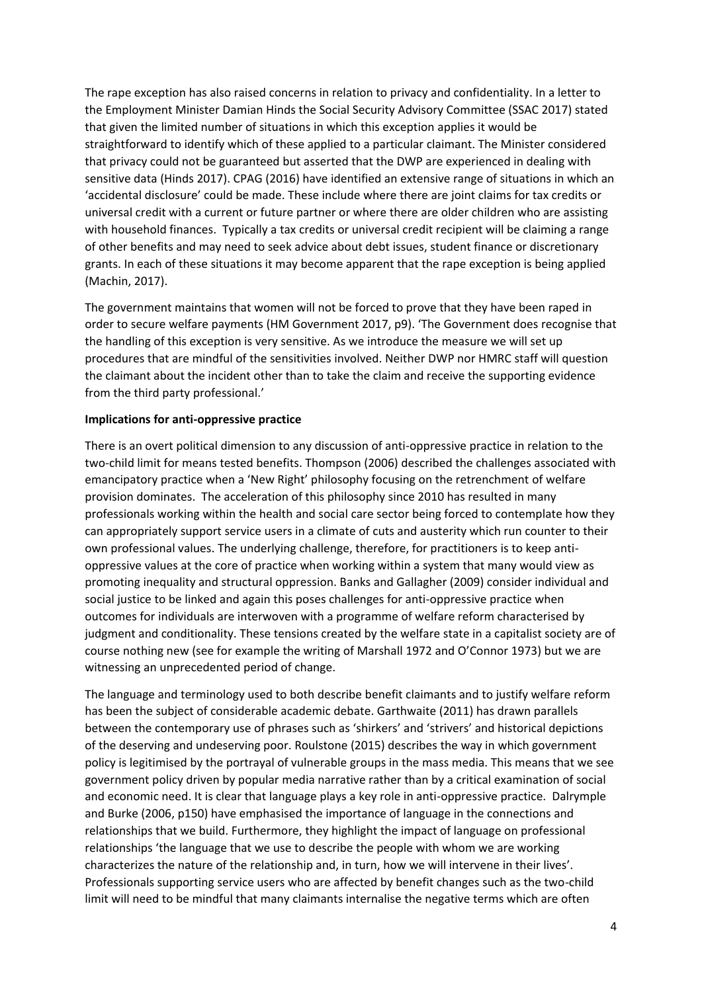The rape exception has also raised concerns in relation to privacy and confidentiality. In a letter to the Employment Minister Damian Hinds the Social Security Advisory Committee (SSAC 2017) stated that given the limited number of situations in which this exception applies it would be straightforward to identify which of these applied to a particular claimant. The Minister considered that privacy could not be guaranteed but asserted that the DWP are experienced in dealing with sensitive data (Hinds 2017). CPAG (2016) have identified an extensive range of situations in which an 'accidental disclosure' could be made. These include where there are joint claims for tax credits or universal credit with a current or future partner or where there are older children who are assisting with household finances. Typically a tax credits or universal credit recipient will be claiming a range of other benefits and may need to seek advice about debt issues, student finance or discretionary grants. In each of these situations it may become apparent that the rape exception is being applied (Machin, 2017).

The government maintains that women will not be forced to prove that they have been raped in order to secure welfare payments (HM Government 2017, p9). 'The Government does recognise that the handling of this exception is very sensitive. As we introduce the measure we will set up procedures that are mindful of the sensitivities involved. Neither DWP nor HMRC staff will question the claimant about the incident other than to take the claim and receive the supporting evidence from the third party professional.'

### **Implications for anti-oppressive practice**

There is an overt political dimension to any discussion of anti-oppressive practice in relation to the two-child limit for means tested benefits. Thompson (2006) described the challenges associated with emancipatory practice when a 'New Right' philosophy focusing on the retrenchment of welfare provision dominates. The acceleration of this philosophy since 2010 has resulted in many professionals working within the health and social care sector being forced to contemplate how they can appropriately support service users in a climate of cuts and austerity which run counter to their own professional values. The underlying challenge, therefore, for practitioners is to keep antioppressive values at the core of practice when working within a system that many would view as promoting inequality and structural oppression. Banks and Gallagher (2009) consider individual and social justice to be linked and again this poses challenges for anti-oppressive practice when outcomes for individuals are interwoven with a programme of welfare reform characterised by judgment and conditionality. These tensions created by the welfare state in a capitalist society are of course nothing new (see for example the writing of Marshall 1972 and O'Connor 1973) but we are witnessing an unprecedented period of change.

The language and terminology used to both describe benefit claimants and to justify welfare reform has been the subject of considerable academic debate. Garthwaite (2011) has drawn parallels between the contemporary use of phrases such as 'shirkers' and 'strivers' and historical depictions of the deserving and undeserving poor. Roulstone (2015) describes the way in which government policy is legitimised by the portrayal of vulnerable groups in the mass media. This means that we see government policy driven by popular media narrative rather than by a critical examination of social and economic need. It is clear that language plays a key role in anti-oppressive practice. Dalrymple and Burke (2006, p150) have emphasised the importance of language in the connections and relationships that we build. Furthermore, they highlight the impact of language on professional relationships 'the language that we use to describe the people with whom we are working characterizes the nature of the relationship and, in turn, how we will intervene in their lives'. Professionals supporting service users who are affected by benefit changes such as the two-child limit will need to be mindful that many claimants internalise the negative terms which are often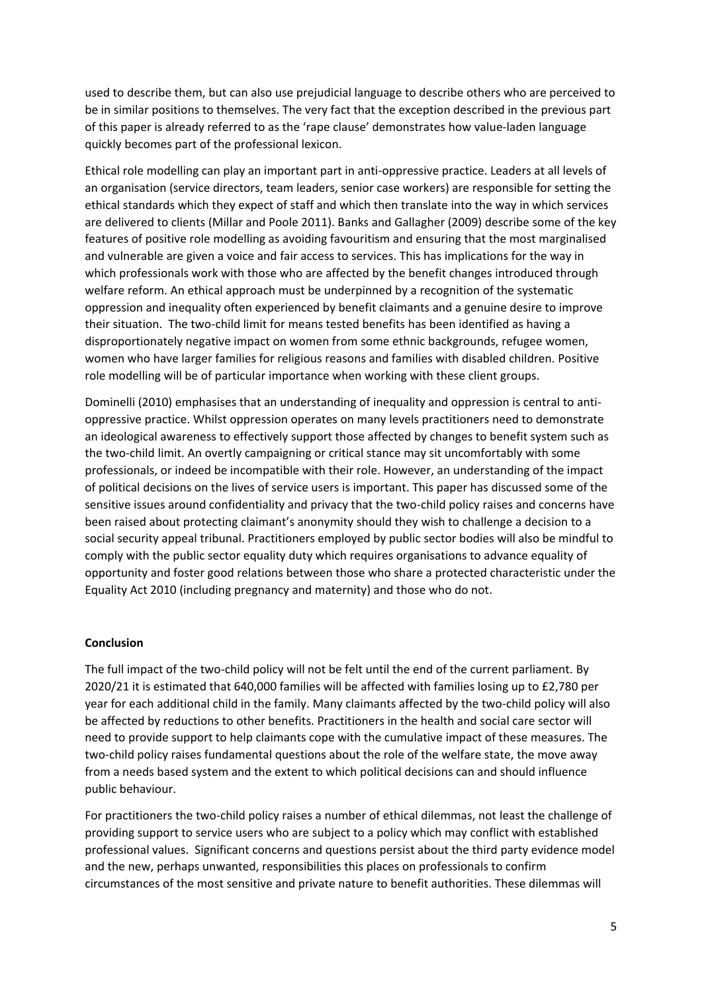used to describe them, but can also use prejudicial language to describe others who are perceived to be in similar positions to themselves. The very fact that the exception described in the previous part of this paper is already referred to as the 'rape clause' demonstrates how value-laden language quickly becomes part of the professional lexicon.

Ethical role modelling can play an important part in anti-oppressive practice. Leaders at all levels of an organisation (service directors, team leaders, senior case workers) are responsible for setting the ethical standards which they expect of staff and which then translate into the way in which services are delivered to clients (Millar and Poole 2011). Banks and Gallagher (2009) describe some of the key features of positive role modelling as avoiding favouritism and ensuring that the most marginalised and vulnerable are given a voice and fair access to services. This has implications for the way in which professionals work with those who are affected by the benefit changes introduced through welfare reform. An ethical approach must be underpinned by a recognition of the systematic oppression and inequality often experienced by benefit claimants and a genuine desire to improve their situation. The two-child limit for means tested benefits has been identified as having a disproportionately negative impact on women from some ethnic backgrounds, refugee women, women who have larger families for religious reasons and families with disabled children. Positive role modelling will be of particular importance when working with these client groups.

Dominelli (2010) emphasises that an understanding of inequality and oppression is central to antioppressive practice. Whilst oppression operates on many levels practitioners need to demonstrate an ideological awareness to effectively support those affected by changes to benefit system such as the two-child limit. An overtly campaigning or critical stance may sit uncomfortably with some professionals, or indeed be incompatible with their role. However, an understanding of the impact of political decisions on the lives of service users is important. This paper has discussed some of the sensitive issues around confidentiality and privacy that the two-child policy raises and concerns have been raised about protecting claimant's anonymity should they wish to challenge a decision to a social security appeal tribunal. Practitioners employed by public sector bodies will also be mindful to comply with the public sector equality duty which requires organisations to advance equality of opportunity and foster good relations between those who share a protected characteristic under the Equality Act 2010 (including pregnancy and maternity) and those who do not.

#### **Conclusion**

The full impact of the two-child policy will not be felt until the end of the current parliament. By 2020/21 it is estimated that 640,000 families will be affected with families losing up to £2,780 per year for each additional child in the family. Many claimants affected by the two-child policy will also be affected by reductions to other benefits. Practitioners in the health and social care sector will need to provide support to help claimants cope with the cumulative impact of these measures. The two-child policy raises fundamental questions about the role of the welfare state, the move away from a needs based system and the extent to which political decisions can and should influence public behaviour.

For practitioners the two-child policy raises a number of ethical dilemmas, not least the challenge of providing support to service users who are subject to a policy which may conflict with established professional values. Significant concerns and questions persist about the third party evidence model and the new, perhaps unwanted, responsibilities this places on professionals to confirm circumstances of the most sensitive and private nature to benefit authorities. These dilemmas will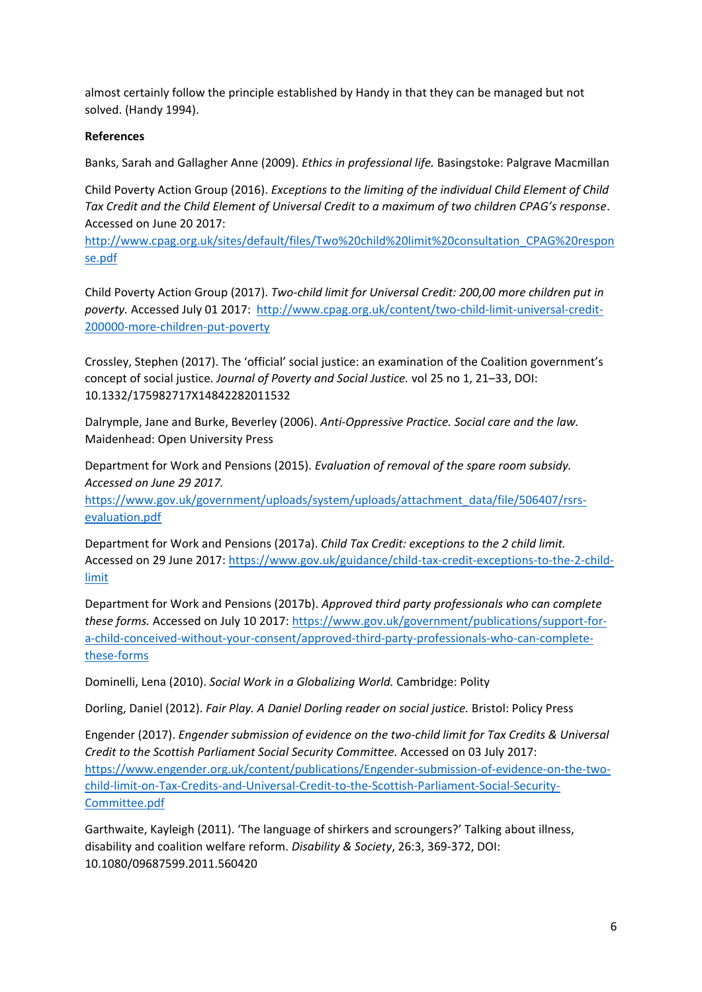almost certainly follow the principle established by Handy in that they can be managed but not solved. (Handy 1994).

# **References**

Banks, Sarah and Gallagher Anne (2009). *Ethics in professional life.* Basingstoke: Palgrave Macmillan

Child Poverty Action Group (2016). *Exceptions to the limiting of the individual Child Element of Child Tax Credit and the Child Element of Universal Credit to a maximum of two children CPAG's response*. Accessed on June 20 2017:

[http://www.cpag.org.uk/sites/default/files/Two%20child%20limit%20consultation\\_CPAG%20respon](http://www.cpag.org.uk/sites/default/files/Two%20child%20limit%20consultation_CPAG%20response.pdf) [se.pdf](http://www.cpag.org.uk/sites/default/files/Two%20child%20limit%20consultation_CPAG%20response.pdf)

Child Poverty Action Group (2017). *Two-child limit for Universal Credit: 200,00 more children put in poverty.* Accessed July 01 2017: [http://www.cpag.org.uk/content/two-child-limit-universal-credit-](http://www.cpag.org.uk/content/two-child-limit-universal-credit-200000-more-children-put-poverty)[200000-more-children-put-poverty](http://www.cpag.org.uk/content/two-child-limit-universal-credit-200000-more-children-put-poverty)

Crossley, Stephen (2017). The 'official' social justice: an examination of the Coalition government's concept of social justice. *Journal of Poverty and Social Justice.* vol 25 no 1, 21–33, DOI: 10.1332/175982717X14842282011532

Dalrymple, Jane and Burke, Beverley (2006). *Anti-Oppressive Practice. Social care and the law.*  Maidenhead: Open University Press

Department for Work and Pensions (2015). *Evaluation of removal of the spare room subsidy. Accessed on June 29 2017.* 

[https://www.gov.uk/government/uploads/system/uploads/attachment\\_data/file/506407/rsrs](https://www.gov.uk/government/uploads/system/uploads/attachment_data/file/506407/rsrs-evaluation.pdf)[evaluation.pdf](https://www.gov.uk/government/uploads/system/uploads/attachment_data/file/506407/rsrs-evaluation.pdf)

Department for Work and Pensions (2017a). *Child Tax Credit: exceptions to the 2 child limit.* Accessed on 29 June 2017: [https://www.gov.uk/guidance/child-tax-credit-exceptions-to-the-2-child](https://www.gov.uk/guidance/child-tax-credit-exceptions-to-the-2-child-limit)[limit](https://www.gov.uk/guidance/child-tax-credit-exceptions-to-the-2-child-limit)

Department for Work and Pensions (2017b). *Approved third party professionals who can complete these forms.* Accessed on July 10 2017: [https://www.gov.uk/government/publications/support-for](https://www.gov.uk/government/publications/support-for-a-child-conceived-without-your-consent/approved-third-party-professionals-who-can-complete-these-forms)[a-child-conceived-without-your-consent/approved-third-party-professionals-who-can-complete](https://www.gov.uk/government/publications/support-for-a-child-conceived-without-your-consent/approved-third-party-professionals-who-can-complete-these-forms)[these-forms](https://www.gov.uk/government/publications/support-for-a-child-conceived-without-your-consent/approved-third-party-professionals-who-can-complete-these-forms)

Dominelli, Lena (2010). *Social Work in a Globalizing World.* Cambridge: Polity

Dorling, Daniel (2012). *Fair Play. A Daniel Dorling reader on social justice.* Bristol: Policy Press

Engender (2017). *Engender submission of evidence on the two-child limit for Tax Credits & Universal Credit to the Scottish Parliament Social Security Committee.* Accessed on 03 July 2017: [https://www.engender.org.uk/content/publications/Engender-submission-of-evidence-on-the-two](https://www.engender.org.uk/content/publications/Engender-submission-of-evidence-on-the-two-child-limit-on-Tax-Credits-and-Universal-Credit-to-the-Scottish-Parliament-Social-Security-Committee.pdf)[child-limit-on-Tax-Credits-and-Universal-Credit-to-the-Scottish-Parliament-Social-Security-](https://www.engender.org.uk/content/publications/Engender-submission-of-evidence-on-the-two-child-limit-on-Tax-Credits-and-Universal-Credit-to-the-Scottish-Parliament-Social-Security-Committee.pdf)[Committee.pdf](https://www.engender.org.uk/content/publications/Engender-submission-of-evidence-on-the-two-child-limit-on-Tax-Credits-and-Universal-Credit-to-the-Scottish-Parliament-Social-Security-Committee.pdf)

Garthwaite, Kayleigh (2011). 'The language of shirkers and scroungers?' Talking about illness, disability and coalition welfare reform. *Disability & Society*, 26:3, 369-372, DOI: 10.1080/09687599.2011.560420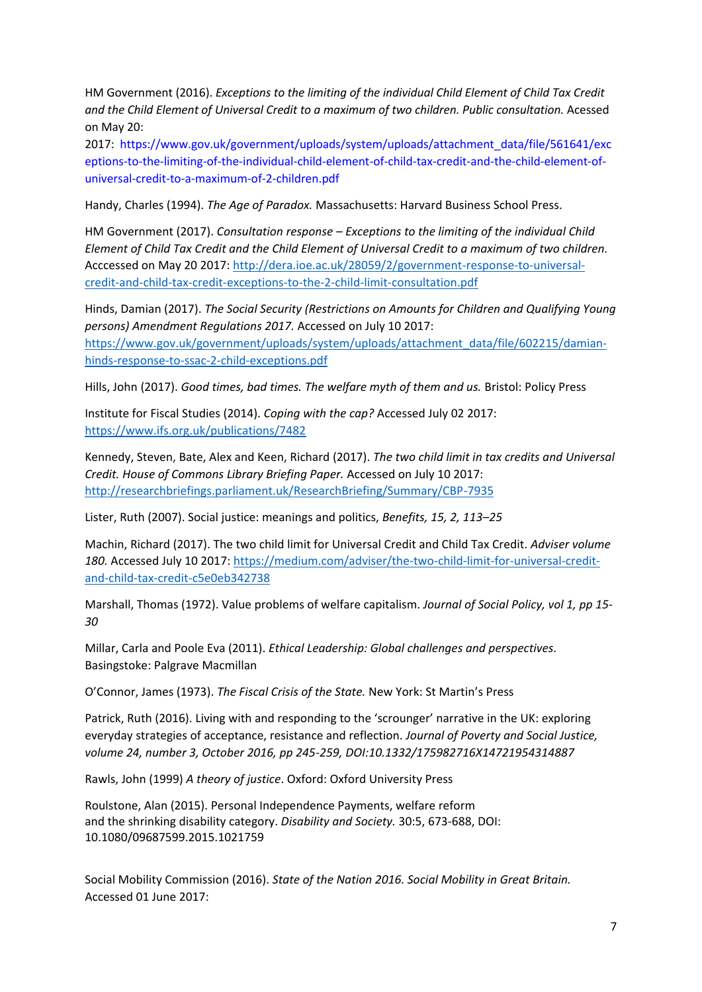HM Government (2016). *Exceptions to the limiting of the individual Child Element of Child Tax Credit and the Child Element of Universal Credit to a maximum of two children. Public consultation.* Acessed on May 20:

2017: [https://www.gov.uk/government/uploads/system/uploads/attachment\\_data/file/561641/exc](https://www.gov.uk/government/uploads/system/uploads/attachment_data/file/561641/exceptions-to-the-limiting-of-the-individual-child-element-of-child-tax-credit-and-the-child-element-of-universal-credit-to-a-maximum-of-2-children.pdf) [eptions-to-the-limiting-of-the-individual-child-element-of-child-tax-credit-and-the-child-element-of](https://www.gov.uk/government/uploads/system/uploads/attachment_data/file/561641/exceptions-to-the-limiting-of-the-individual-child-element-of-child-tax-credit-and-the-child-element-of-universal-credit-to-a-maximum-of-2-children.pdf)[universal-credit-to-a-maximum-of-2-children.pdf](https://www.gov.uk/government/uploads/system/uploads/attachment_data/file/561641/exceptions-to-the-limiting-of-the-individual-child-element-of-child-tax-credit-and-the-child-element-of-universal-credit-to-a-maximum-of-2-children.pdf)

Handy, Charles (1994). *The Age of Paradox.* Massachusetts: Harvard Business School Press.

HM Government (2017). *Consultation response – Exceptions to the limiting of the individual Child Element of Child Tax Credit and the Child Element of Universal Credit to a maximum of two children.* Acccessed on May 20 2017[: http://dera.ioe.ac.uk/28059/2/government-response-to-universal](http://dera.ioe.ac.uk/28059/2/government-response-to-universal-credit-and-child-tax-credit-exceptions-to-the-2-child-limit-consultation.pdf)[credit-and-child-tax-credit-exceptions-to-the-2-child-limit-consultation.pdf](http://dera.ioe.ac.uk/28059/2/government-response-to-universal-credit-and-child-tax-credit-exceptions-to-the-2-child-limit-consultation.pdf)

Hinds, Damian (2017). *The Social Security (Restrictions on Amounts for Children and Qualifying Young persons) Amendment Regulations 2017.* Accessed on July 10 2017: [https://www.gov.uk/government/uploads/system/uploads/attachment\\_data/file/602215/damian](https://www.gov.uk/government/uploads/system/uploads/attachment_data/file/602215/damian-hinds-response-to-ssac-2-child-exceptions.pdf)[hinds-response-to-ssac-2-child-exceptions.pdf](https://www.gov.uk/government/uploads/system/uploads/attachment_data/file/602215/damian-hinds-response-to-ssac-2-child-exceptions.pdf)

Hills, John (2017). *Good times, bad times. The welfare myth of them and us.* Bristol: Policy Press

Institute for Fiscal Studies (2014). *Coping with the cap?* Accessed July 02 2017: <https://www.ifs.org.uk/publications/7482>

Kennedy, Steven, Bate, Alex and Keen, Richard (2017). *The two child limit in tax credits and Universal Credit. House of Commons Library Briefing Paper.* Accessed on July 10 2017: <http://researchbriefings.parliament.uk/ResearchBriefing/Summary/CBP-7935>

Lister, Ruth (2007). Social justice: meanings and politics, *Benefits, 15, 2, 113–25*

Machin, Richard (2017). The two child limit for Universal Credit and Child Tax Credit. *Adviser volume 180.* Accessed July 10 2017: [https://medium.com/adviser/the-two-child-limit-for-universal-credit](https://medium.com/adviser/the-two-child-limit-for-universal-credit-and-child-tax-credit-c5e0eb342738)[and-child-tax-credit-c5e0eb342738](https://medium.com/adviser/the-two-child-limit-for-universal-credit-and-child-tax-credit-c5e0eb342738)

Marshall, Thomas (1972). Value problems of welfare capitalism. *Journal of Social Policy, vol 1, pp 15- 30*

Millar, Carla and Poole Eva (2011). *Ethical Leadership: Global challenges and perspectives.*  Basingstoke: Palgrave Macmillan

O'Connor, James (1973). *The Fiscal Crisis of the State.* New York: St Martin's Press

Patrick, Ruth (2016). Living with and responding to the 'scrounger' narrative in the UK: exploring everyday strategies of acceptance, resistance and reflection. *Journal of Poverty and Social Justice, volume 24, number 3, October 2016, pp 245-259, DOI:10.1332/175982716X14721954314887*

Rawls, John (1999) *A theory of justice*. Oxford: Oxford University Press

Roulstone, Alan (2015). Personal Independence Payments, welfare reform and the shrinking disability category. *Disability and Society.* 30:5, 673-688, DOI: 10.1080/09687599.2015.1021759

Social Mobility Commission (2016). *State of the Nation 2016. Social Mobility in Great Britain.*  Accessed 01 June 2017: